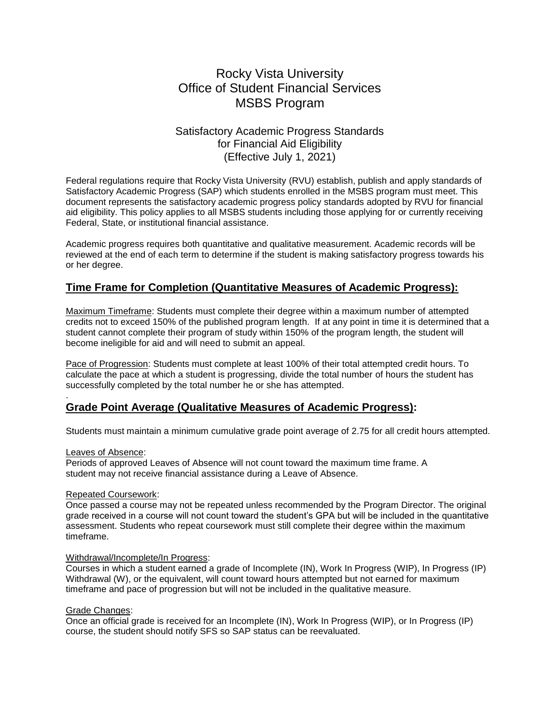# Rocky Vista University Office of Student Financial Services MSBS Program

# Satisfactory Academic Progress Standards for Financial Aid Eligibility (Effective July 1, 2021)

Federal regulations require that Rocky Vista University (RVU) establish, publish and apply standards of Satisfactory Academic Progress (SAP) which students enrolled in the MSBS program must meet. This document represents the satisfactory academic progress policy standards adopted by RVU for financial aid eligibility. This policy applies to all MSBS students including those applying for or currently receiving Federal, State, or institutional financial assistance.

Academic progress requires both quantitative and qualitative measurement. Academic records will be reviewed at the end of each term to determine if the student is making satisfactory progress towards his or her degree.

# **Time Frame for Completion (Quantitative Measures of Academic Progress):**

Maximum Timeframe: Students must complete their degree within a maximum number of attempted credits not to exceed 150% of the published program length. If at any point in time it is determined that a student cannot complete their program of study within 150% of the program length, the student will become ineligible for aid and will need to submit an appeal.

Pace of Progression: Students must complete at least 100% of their total attempted credit hours. To calculate the pace at which a student is progressing, divide the total number of hours the student has successfully completed by the total number he or she has attempted.

# **Grade Point Average (Qualitative Measures of Academic Progress):**

Students must maintain a minimum cumulative grade point average of 2.75 for all credit hours attempted.

### Leaves of Absence:

.

Periods of approved Leaves of Absence will not count toward the maximum time frame. A student may not receive financial assistance during a Leave of Absence.

# Repeated Coursework:

Once passed a course may not be repeated unless recommended by the Program Director. The original grade received in a course will not count toward the student's GPA but will be included in the quantitative assessment. Students who repeat coursework must still complete their degree within the maximum timeframe.

#### Withdrawal/Incomplete/In Progress:

Courses in which a student earned a grade of Incomplete (IN), Work In Progress (WIP), In Progress (IP) Withdrawal (W), or the equivalent, will count toward hours attempted but not earned for maximum timeframe and pace of progression but will not be included in the qualitative measure.

# Grade Changes:

Once an official grade is received for an Incomplete (IN), Work In Progress (WIP), or In Progress (IP) course, the student should notify SFS so SAP status can be reevaluated.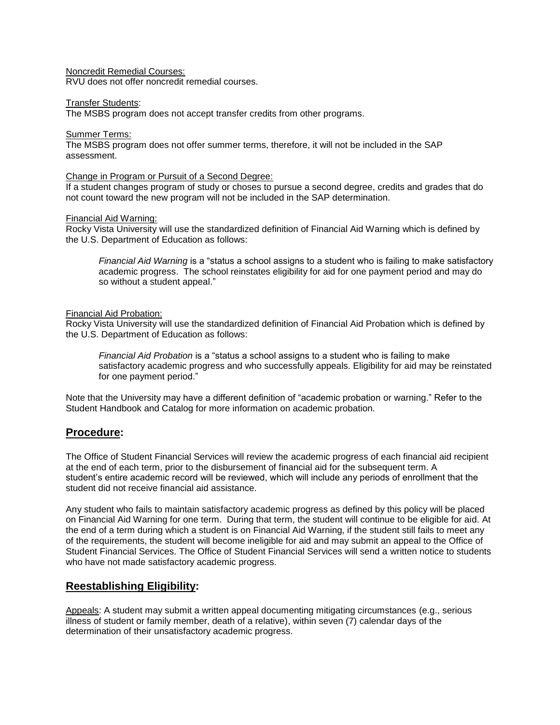# Noncredit Remedial Courses:

RVU does not offer noncredit remedial courses.

#### Transfer Students:

The MSBS program does not accept transfer credits from other programs.

### Summer Terms:

The MSBS program does not offer summer terms, therefore, it will not be included in the SAP assessment.

### Change in Program or Pursuit of a Second Degree:

If a student changes program of study or choses to pursue a second degree, credits and grades that do not count toward the new program will not be included in the SAP determination.

### Financial Aid Warning:

Rocky Vista University will use the standardized definition of Financial Aid Warning which is defined by the U.S. Department of Education as follows:

*Financial Aid Warning* is a "status a school assigns to a student who is failing to make satisfactory academic progress. The school reinstates eligibility for aid for one payment period and may do so without a student appeal."

### Financial Aid Probation:

Rocky Vista University will use the standardized definition of Financial Aid Probation which is defined by the U.S. Department of Education as follows:

*Financial Aid Probation* is a "status a school assigns to a student who is failing to make satisfactory academic progress and who successfully appeals. Eligibility for aid may be reinstated for one payment period."

Note that the University may have a different definition of "academic probation or warning." Refer to the Student Handbook and Catalog for more information on academic probation.

# **Procedure:**

The Office of Student Financial Services will review the academic progress of each financial aid recipient at the end of each term, prior to the disbursement of financial aid for the subsequent term. A student's entire academic record will be reviewed, which will include any periods of enrollment that the student did not receive financial aid assistance.

Any student who fails to maintain satisfactory academic progress as defined by this policy will be placed on Financial Aid Warning for one term. During that term, the student will continue to be eligible for aid. At the end of a term during which a student is on Financial Aid Warning, if the student still fails to meet any of the requirements, the student will become ineligible for aid and may submit an appeal to the Office of Student Financial Services. The Office of Student Financial Services will send a written notice to students who have not made satisfactory academic progress.

# **Reestablishing Eligibility:**

Appeals: A student may submit a written appeal documenting mitigating circumstances (e.g., serious illness of student or family member, death of a relative), within seven (7) calendar days of the determination of their unsatisfactory academic progress.